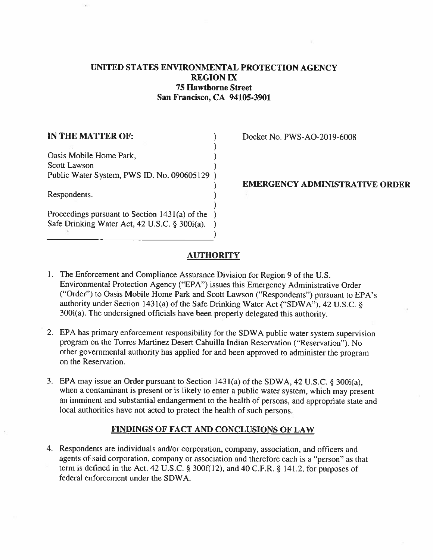# UNITED STATES ENVIRONMENTAL PROTECTION AGENCY REGION IX 75 Hawthorne Street San Francisco, CA 94105-3901

| IN THE MATTER OF:                              |  |
|------------------------------------------------|--|
|                                                |  |
| Oasis Mobile Home Park,                        |  |
| <b>Scott Lawson</b>                            |  |
| Public Water System, PWS ID. No. 090605129     |  |
|                                                |  |
| Respondents.                                   |  |
|                                                |  |
| Proceedings pursuant to Section 1431(a) of the |  |
| Safe Drinking Water Act, 42 U.S.C. § 300i(a).  |  |
|                                                |  |

Docket No. PWS-AO-2019-6008

# EMERGENCY ADMINISTRATIVE ORDER

## **AUTHORITY**

- 1. The Enforcement and Compliance Assurance Division for Region 9 of the U.S. Environmental Protection Agency ("EPA") issues this Emergency Administrative Order ("Order") to Oasis Mobile Home Park and Scott Lawson ("Respondents") pursuant to EPA's authority under Section 1431(a) of the Safe Drinking Water Act ("SDWA"), 42 U.S.C. § 300i(a). The undersigned officials have been properly delegated this authority.
- 2. EPA has primary enforcement responsibility for the SDWA public water system supervision program on the Torres Martinez Desert Cahuilla Indian Reservation ("Reservation"). No other governmental authority has applied for and been approved to administer the program on the Reservation.
- 3. EPA may issue an Order pursuant to Section 143 1(a) of the SDWA, 42 U.S.C. § 300i(a), when a contaminant is present or is likely to enter a public water system, which may present an imminent and substantial endangerment to the health of persons, and appropriate state and local authorities have not acted to protect the health of such persons.

## FINDINGS OF FACT AND CONCLUSIONS OF LAW

4. Respondents are individuals and/or corporation, company, association, and officers and agents of said corporation, company or association and therefore each is a "person" as that term is defined in the Act. 42 U.S.C. § 300 $f(12)$ , and 40 C.F.R. § 141.2, for purposes of federal enforcement under the SDWA.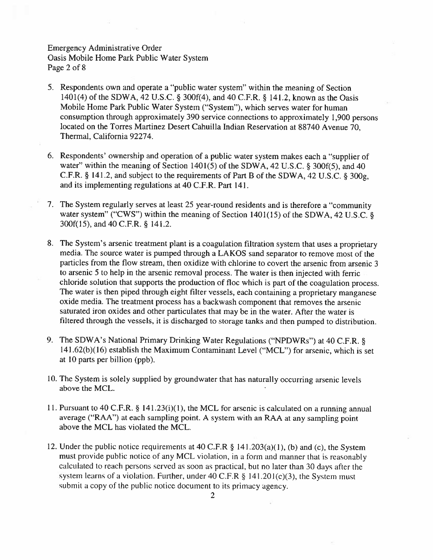# Emergency Administrative Order Oasis Mobile Home Park Public Water System Page 2 of 8

- 5. Respondents own and operate a "public water system" within the meaning of Section 1401(4) of the SDWA. 42 U.S.C. § 300f(4), and 40 C.F.R. § 141.2, known as the Oasis Mobile Home Park Public Water System ("System"), which serves water for human consumption through approximately 390 service connections to approximately 1,900 persons located on the Torres Martinez Desert Cahuilla Indian Reservation at 88740 Avenue 70, Thermal, California 92274.
- 6. Respondents' ownership and operation of a public water system makes each a "supplier of water" within the meaning of Section 1401(5) of the SDWA, 42 U.S.C. § 300f(5), and 40 C.F.R. § 141.2, and subject to the requirements of Part B of the SDWA, 42 U.S.C. § 300g, and its implementing regulations at 40 C.F.R. Part 141.
- 7. The System regularly serves at least 25 year-round residents and is therefore a "community water system" ("CWS") within the meaning of Section 1401(15) of the SDWA, 42 U.S.C. § 300f( 15), and 40 C.F.R. § 141.2.
- 8. The System's arsenic treatment plant is <sup>a</sup> coagulation filtration system that uses <sup>a</sup> proprietary media. The source water is pumped through a LAKOS sand separator to remove most of the particles from the flow stream, then oxidize with chlorine to covert the arsenic from arsenic <sup>3</sup> to arsenic 5 to help in the arsenic removal process. The water is then injected with ferric chloride solution that supports the production of floc which is part of the coagulation process. The water is then piped through eight filter vessels, each containing a proprietary manganese oxide media. The treatment process has a backwash component that removes the arsenic saturated iron oxides and other paniculates that may be in the water. After the water is filtered through the vessels, it is discharged to storage tanks and then pumped to distribution.
- 9. The SDWA's National Primary Drinking Water Regulations ("NPDWRs") at 40 C.F.R. §  $141.62(b)(16)$  establish the Maximum Contaminant Level ("MCL") for arsenic, which is set at 10 parts per billion (ppb).
- 10. The System is solely supplied by groundwater that has naturally occurring arsenic levels above the MCL.
- 11. Pursuant to 40 C.F.R. § l41.23(i)(1), the MCL for arsenic is calculated on a running annual average ("RAA") at each sampling point. A system with an RAA at any sampling point above the MCL has violated the MCL.
- 12. Under the public notice requirements at 40 C.F.R § 141.203(a)(1), (b) and (c), the System must provide public notice of any MCL violation, in a form and manner that is reasonably calculated to reach persons served as soon as practical. hut no later than 30 days aticr the system learns of a violation. Further, under 40 C.F.R  $\S$  141.201(c)(3), the System must submit a copy of the public notice document to its primacy agency.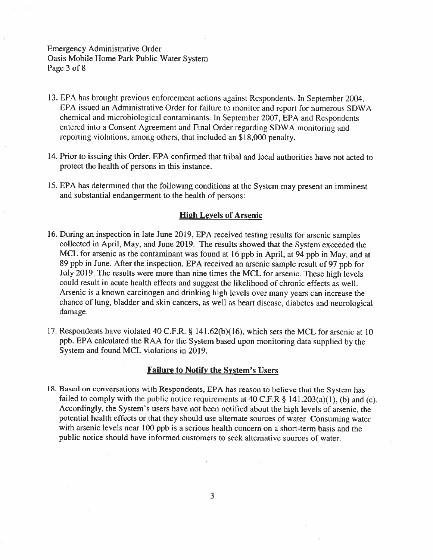# Emergency Administrative Order Oasis Mobile Home Park Public Water System Page 3 of 8

- 13. EPA has brought previous enforcement actions against Respondents. in September 2004, EPA issued an Administrative Order for failure to monitor and report for numerous SDWA chemical and microbiological contaminants, in September 2007, EPA and Respondents entered into <sup>a</sup> Consent Agreement and Final Order regarding SDWA monitoring and reporing violations, among others, that included an \$18,000 penalty.
- 14. Prior to issuing this Order, EPA confirmed that tribal and local authorities have not acted to protect the health of persons in this instance.
- 15. EPA has determined that the following conditions at the System may present an imminent and substantial endangerment to the health of persons:

### High Levels of Arsenic

- 16. During an inspection in late June 2019, EPA received testing results for arsenic samples collected in April, May, and June 2019. The results showed that the System exceeded the MCL for arsenic as the contaminant was found at <sup>16</sup> ppb in April, at 94 ppb in May, and at 89 ppb in June. After the inspection, EPA received an arsenic sample result of 97 ppb for July 2019. The results were more than nine times the MCL for arsenic. These high levels could result in acute health effects and suggest the likelihood of chronic effects as well. Arsenic is a known carcinogen and drinking high levels over many years can increase the chance of lung. bladder and skin cancers, as well as heart disease, diabetes and neurological damage.
- 17. Respondents have violated 40 C.F.R. § 141.62(b)(16), which sets the MCL for arsenic at 10 ppb. EPA calculated the RAA for the System based upon monitoring data supplied by the System and found MCL violations in 2019.

### Failure to Notify the System's Users

18. Based on conversations with Respondents, EPA has reason to believe that the System has failed to comply with the public notice requirements at 40 C.F.R  $\S$  141.203(a)(1), (b) and (c). Accordingly, the System's users have not been notified about the high levels of arsenic, the potential health effects or that they should use alternate sources of water. Consuming water with arsenic levels near 100 ppb is a serious health concern on a short-term basis and the public notice should have informed customers to seek alternative sources of water.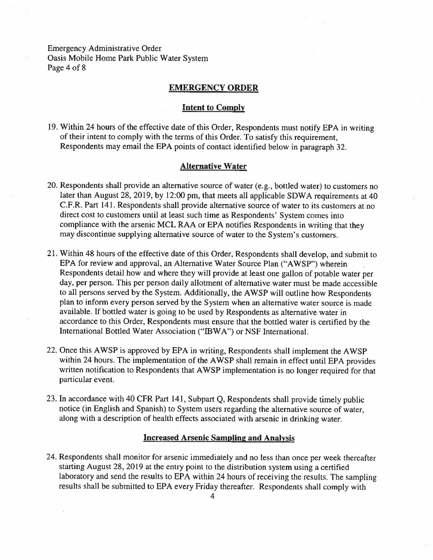Emergency Administrative Order Oasis Mobile Home Park Public Water System Page 4 of 8

### EMERGENCY ORDER

#### Intent to Comply

19. Within 24 hours of the effective date of this Order, Respondents must notify EPA in writing of their intent to comply with the terms of this Order. To satisfy this requirement, Respondents may email the EPA points of contact identified below in paragraph 32.

#### Alternative Water

- 20. Respondents shall provide an alternative source of water (e.g., bottled water) to customers no later than August 28, 2019, by 12:00 pm, that meets all applicable SDWA requirements at 40 C.F.R. Part 141. Respondents shall provide alternative source of water to its customers at no direct cost to customers until at least such time as Respondents' System comes into compliance with the arsenic MCL RAA or EPA notifies Respondents in writing that they may discontinue supplying alternative source of water to the System's customers.
- 21. Within 48 hours of the effective date of this Order, Respondents shall develop, and submit to EPA for review and approval, an Alternative Water Source Plan ("AWSP") wherein Respondents detail how and where they will provide at least one gallon of potable water per day, per person. This per person daily allotment of alternative water must be made accessible to all persons served by the System. Additionally, the AWSP will outline how Respondents plan to inform every person served by the System when an alternative water source is made available. If bottled water is going to he used by Respondents as alternative water in accordance to this Order. Respondents must ensure that the bottled water is certified by the International Bottled Water Association ("IBWA") or NSF International.
- 22. Once this AWSP is approved by EPA in writing, Respondents shall implement the AWSP within 24 hours. The implementation of the AWSP shall remain in effect until EPA provides written notification to Respondents that AWSP implementation is no longer required for that particular event.
- 23. In accordance with 40 CFR Part 141, Subpart Q, Respondents shall provide timely public notice (in English and Spanish) to System users regarding the alternative source of water, along with a description of health effects associated with arsenic in drinking water.

#### Increased Arsenic Sampling and Analysis

24. Respondents shall monitor for arsenic immediately and no less than once per week thereafter starting August 28, 2019 at the entry point to the distribution system using a certified laboratory and send the results to EPA within 24 hours of receiving the results. The sampling results shall be submitted to EPA every Friday thereafter. Respondents shall comply with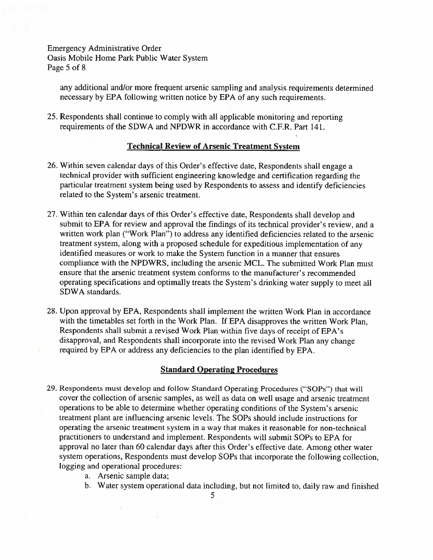Emergency Administrative Order Oasis Mobile Home Park Public Water System Page 5 of 8

any additional and/or more frequent arsenic sampling and analysis requirements determined necessary by EPA following written notice by EPA of any such requirements.

25. Respondents shall continue to comply with all applicable monitoring and reporting requirements of the SDWA and NPDWR in accordance with C.F.R. Part 141.

## Technical Review of Arsenic Treatment System

- 26. Within seven calendar days of this Order's effective date. Respondents shall engage a technical provider with sufficient engineering knowledge and certification regarding the particular treatment system being used by Respondents to assess and identify deficiencies related to the System's arsenic treatment.
- 27. Within ten calendar days of this Order's effective date, Respondents shall develop and submit to EPA for review and approval the findings of its technical provider's review, and a written work plan ("Work Plan") to address any identified deficiencies related to the arsenic treatment system, along with a proposed schedule for expeditious implementation of any identified measures or work to make the System function in <sup>a</sup> manner that ensures compliance with the NPDWRS, including the arsenic MCL. The submitted Work Plan must ensure that the arsenic treatment system conforms to the manufacturer's recommended operating specifications and optimally treats the System's drinking water supply to meet all SDWA standards.
- 28. Upon approval by EPA. Respondents shall implement the written Work Plan in accordance with the timetables set forth in the Work Plan. If EPA disapproves the written Work Plan. Respondents shall submit a revised Work Plan within five days of receipt of EPA's disapproval, and Respondents shall incorporate into the revised Work Plan any change required by EPA or address any deficiencies to the plan identified by EPA.

#### Standard Operating Procedures

- 29. Respondents must develop and follow Standard Operating Procedures ("SOPs") that will cover the collection of arsenic samples, as well as data on well usage and arsenic treatment operations to be able to determine whether operating conditions of the System's arsenic treatment plant are influencing arsenic levels. The SOPs should include instructions for operating the arsenic treatment system in a way that makes it reasonable for non-technical practitioners to understand and implement. Respondents will submit SOPs to EPA for approval no later than 60 calendar days after this Order's effective date. Among other water system operations, Respondents must develop SOPs that incorporate the following collection, logging and operational procedures:
	- a. Arsenic sample data:
	- h. Water system operational data including, but not limited to, daily raw and finished

5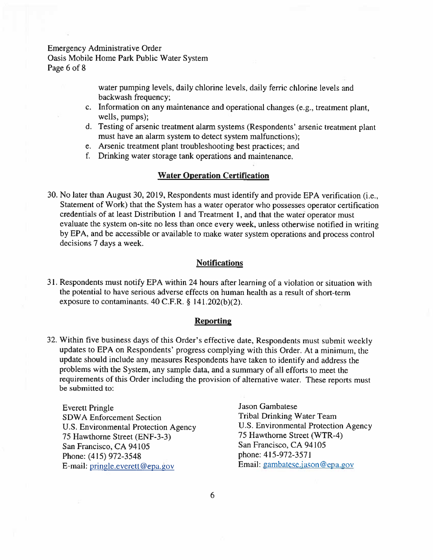Emergency Administrative Order Oasis Mobile Home Park Public Water System Page 6 of 8

> water pumping levels, daily chlorine levels, daily ferric chlorine levels and backwash frequency;

- c. Information on any maintenance and operational changes (e.g., treatment plant, wells, pumps);
- d. Testing of arsenic treatment alarm systems (Respondents' arsenic treatment plant must have an alarm system to detect system malfunctions);
- e. Arsenic treatment plant troubleshooting best practices; and
- f. Drinking water storage tank operations and maintenance.

#### Water Operation Certification

30. No later than August 30, 2019, Respondents must identify and provide EPA verification (i.e., Statement of Work) that the System has a water operator who possesses operator certification credentials of at least Distribution <sup>1</sup> and Treatment 1, and that the water operator must evaluate the system on-site no less than once every week, unless otherwise notified in writing by EPA, and be accessible or available to make water system operations and process control decisions 7 days a week.

## **Notifications**

31. Respondents must notify EPA within 24 hours after learning of a violation or situation with the potential to have serious adverse effects on human health as a result of short-term exposure to contaminants. 40 C.F.R. § 141.202(b)(2).

#### **Reporting**

32. Within five business days of this Order's effective date, Respondents must submit weekly updates to EPA on Respondents' progress complying with this Order. At a minimum, the update should include any measures Respondents have taken to identify and address the problems with the System, any sample data, and a summary of all efforts to meet the requirements of this Order including the provision of alternative water. These reports must be submitted to:

Everett Pringle Gambatese Jason Gambatese U.S. Environmental Protection Agency U.S. Environmental Protection<br>
75 Hawthorne Street (ENF-3-3) 75 Hawthorne Street (WTR-4) 75 Hawthorne Street (ENF-3-3) 75 Hawthorne Street (WT<br>San Francisco, CA 94105 75 San Francisco, CA 94105 San Francisco, CA 94105<br>
Phone: (415) 972-3548<br>
Phone: 415-972-3571 Phone: (415) 972-3548 E-mail: pringle.everett@epa.gov Email: gambatese.jason@epa.gov

SDWA Enforcement Section<br>
U.S. Environmental Protection Agency<br>
U.S. Environmental Protection Agency<br>
U.S. Environmental Protection Agency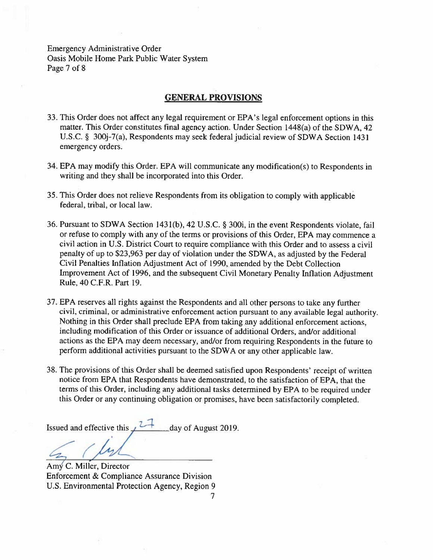Emergency Administrative Order Oasis Mobile Home Park Public Water System Page 7 of 8

## GENERAL PROVISIONS

- 33. This Order does not affect any legal requirement or EPA's legal enforcement options in this matter. This Order constitutes final agency action. Under Section 1448(a) of the SDWA. 42 U.S.C. § 300j-7(a), Respondents may seek federal judicial review of SDWA Section 1431 emergency orders.
- 34. EPA may modify this Order. EPA will communicate any modification(s) to Respondents in writing and they shall be incorporated into this Order.
- 35. This Order does not relieve Respondents from its obligation to comply with applicable federal, tribal, or local law.
- 36. Pursuant to SDWA Section 1431(b). 42 U.S.C. § 300i, in the event Respondents violate, fail or refuse to comply with any of the terms or provisions of this Order. EPA may commence <sup>a</sup> civil action in U.S. District Court to require compliance with this Order and to assess a civil penalty of up to \$23,963 per day of violation under the SDWA, as adjusted by the Federal Civil Penalties Inflation Adjustment Act of 1990, amended by the Debt Collection Improvement Act of 1996, and the subsequent Civil Monetary Penalty Inflation Adjustment Rule, 40 C.F.R. Part 19.
- 37. EPA reserves all rights against the Respondents and all other persons to take any further civil, criminal, or administrative enforcement action pursuant to any available legal authority Nothing in this Order shall preclude EPA from taking any additional enforcement actions, including modification of this Order or issuance of additional Orders, and/or additional actions as the EPA may deem necessary, and/or from requiring Respondents in the future to perform additional activities pursuant to the SDWA or any other applicable law.
- 38. The provisions of this Order shall be deemed satisfied upon Respondents' receipt of written notice from EPA that Respondents have demonstrated, to the satisfaction of EPA, that the terms of this Order, including any additional tasks determined by EPA to be required under this Order or any continuing obligation or promises, have been satisfactorily completed.

Issued and effective this  $\sqrt{2}$  day of August 2019.

Amy C. Miller. Director Enforcement & Compliance Assurance Division U.S. Environmental Protection Agency, Region 9